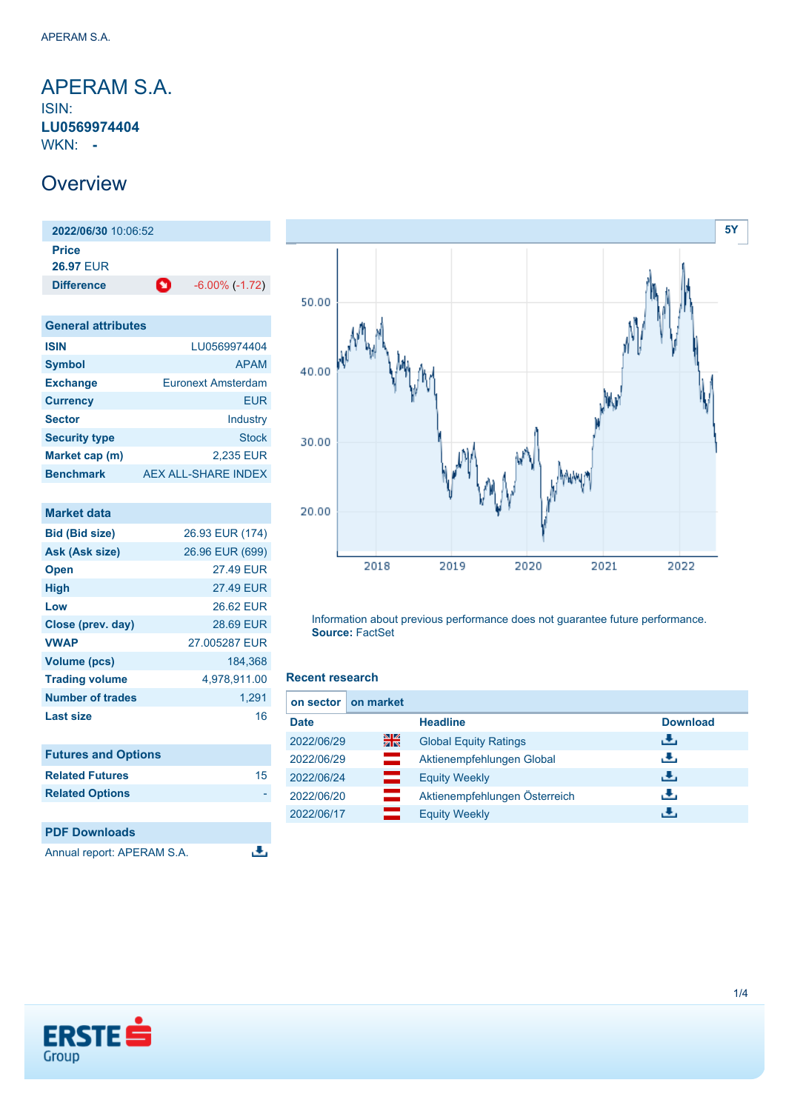<span id="page-0-0"></span>APERAM S.A. ISIN: **LU0569974404** WKN: **-**

### **Overview**

**2022/06/30** 10:06:52 **Price 26.97** EUR **Difference** -6.00% (-1.72)

| <b>General attributes</b> |                            |
|---------------------------|----------------------------|
| <b>ISIN</b>               | LU0569974404               |
| <b>Symbol</b>             | <b>APAM</b>                |
| <b>Exchange</b>           | Euronext Amsterdam         |
| <b>Currency</b>           | FUR                        |
| <b>Sector</b>             | Industry                   |
| <b>Security type</b>      | Stock                      |
| Market cap (m)            | 2,235 EUR                  |
| <b>Benchmark</b>          | <b>AEX ALL-SHARE INDEX</b> |

| <b>Market data</b>         |                  |
|----------------------------|------------------|
| <b>Bid (Bid size)</b>      | 26.93 EUR (174)  |
| Ask (Ask size)             | 26.96 EUR (699)  |
| <b>Open</b>                | <b>27.49 FUR</b> |
| <b>High</b>                | <b>27.49 EUR</b> |
| Low                        | 26.62 EUR        |
| Close (prev. day)          | 28.69 EUR        |
| <b>VWAP</b>                | 27.005287 EUR    |
| <b>Volume (pcs)</b>        | 184,368          |
| <b>Trading volume</b>      | 4,978,911.00     |
| Number of trades           | 1,291            |
| <b>Last size</b>           | 16               |
|                            |                  |
| <b>Futures and Options</b> |                  |
| <b>Related Futures</b>     | 15               |
| <b>Related Options</b>     |                  |
|                            |                  |
| <b>PDF Downloads</b>       |                  |
| Annual report: APERAM S.A. |                  |



Information about previous performance does not guarantee future performance. **Source:** FactSet

#### **Recent research**

| on sector   | on market |                               |                 |
|-------------|-----------|-------------------------------|-----------------|
| <b>Date</b> |           | <b>Headline</b>               | <b>Download</b> |
| 2022/06/29  | 을중        | <b>Global Equity Ratings</b>  | رالى            |
| 2022/06/29  |           | Aktienempfehlungen Global     | رنان            |
| 2022/06/24  | —         | <b>Equity Weekly</b>          | رنان            |
| 2022/06/20  |           | Aktienempfehlungen Österreich | رنان            |
| 2022/06/17  |           | <b>Equity Weekly</b>          | J.              |

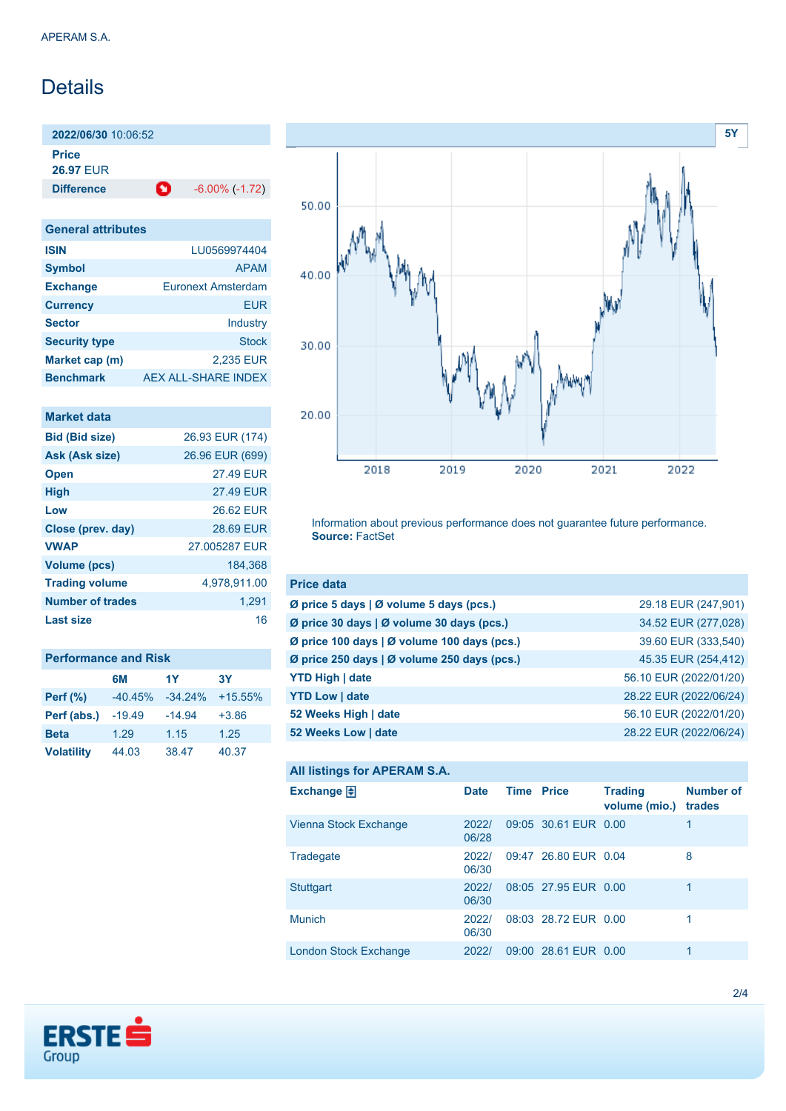# Details

**2022/06/30** 10:06:52

**Price 26.97** EUR

**Difference** -6.00% (-1.72)

| <b>General attributes</b> |                           |
|---------------------------|---------------------------|
| <b>ISIN</b>               | LU0569974404              |
| <b>Symbol</b>             | <b>APAM</b>               |
| <b>Exchange</b>           | <b>Euronext Amsterdam</b> |
| <b>Currency</b>           | FUR                       |
| <b>Sector</b>             | Industry                  |
| <b>Security type</b>      | <b>Stock</b>              |
| Market cap (m)            | 2,235 EUR                 |
| <b>Benchmark</b>          | AEX ALL-SHARE INDEX       |

| Market data             |                  |
|-------------------------|------------------|
| <b>Bid (Bid size)</b>   | 26.93 EUR (174)  |
| Ask (Ask size)          | 26.96 EUR (699)  |
| <b>Open</b>             | 27.49 EUR        |
| <b>High</b>             | 27.49 EUR        |
| Low                     | 26.62 FUR        |
| Close (prev. day)       | <b>28.69 EUR</b> |
| <b>VWAP</b>             | 27.005287 EUR    |
| <b>Volume (pcs)</b>     | 184.368          |
| <b>Trading volume</b>   | 4,978,911.00     |
| <b>Number of trades</b> | 1,291            |
| Last size               | 16               |

| <b>Performance and Risk</b> |           |            |           |
|-----------------------------|-----------|------------|-----------|
|                             | 6M        | 1Y         | <b>3Y</b> |
| Perf $(\%)$                 | $-40.45%$ | $-34.24\%$ | $+15.55%$ |
| Perf (abs.)                 | $-19.49$  | $-14.94$   | $+3.86$   |
| <b>Beta</b>                 | 1.29      | 1.15       | 1.25      |
| <b>Volatility</b>           | 44.03     | 38.47      | 40.37     |



Information about previous performance does not guarantee future performance. **Source:** FactSet

| <b>Price data</b>                           |                        |
|---------------------------------------------|------------------------|
| Ø price 5 days   Ø volume 5 days (pcs.)     | 29.18 EUR (247,901)    |
| Ø price 30 days   Ø volume 30 days (pcs.)   | 34.52 EUR (277,028)    |
| Ø price 100 days   Ø volume 100 days (pcs.) | 39.60 EUR (333,540)    |
| Ø price 250 days   Ø volume 250 days (pcs.) | 45.35 EUR (254,412)    |
| <b>YTD High   date</b>                      | 56.10 EUR (2022/01/20) |
| <b>YTD Low   date</b>                       | 28.22 EUR (2022/06/24) |
| 52 Weeks High   date                        | 56.10 EUR (2022/01/20) |
| 52 Weeks Low   date                         | 28.22 EUR (2022/06/24) |

```
All listings for APERAM S.A.
```

| Exchange $\Box$       | <b>Date</b>    | <b>Time Price</b> |                      | <b>Trading</b><br>volume (mio.) | Number of<br>trades |
|-----------------------|----------------|-------------------|----------------------|---------------------------------|---------------------|
| Vienna Stock Exchange | 2022/<br>06/28 |                   | 09:05 30.61 EUR 0.00 |                                 |                     |
| Tradegate             | 2022/<br>06/30 |                   | 09:47 26.80 EUR 0.04 |                                 | 8                   |
| <b>Stuttgart</b>      | 2022/<br>06/30 |                   | 08:05 27.95 EUR 0.00 |                                 |                     |
| <b>Munich</b>         | 2022/<br>06/30 |                   | 08:03 28.72 FUR 0.00 |                                 |                     |
| London Stock Exchange | 2022/          |                   | 09:00 28.61 EUR 0.00 |                                 |                     |

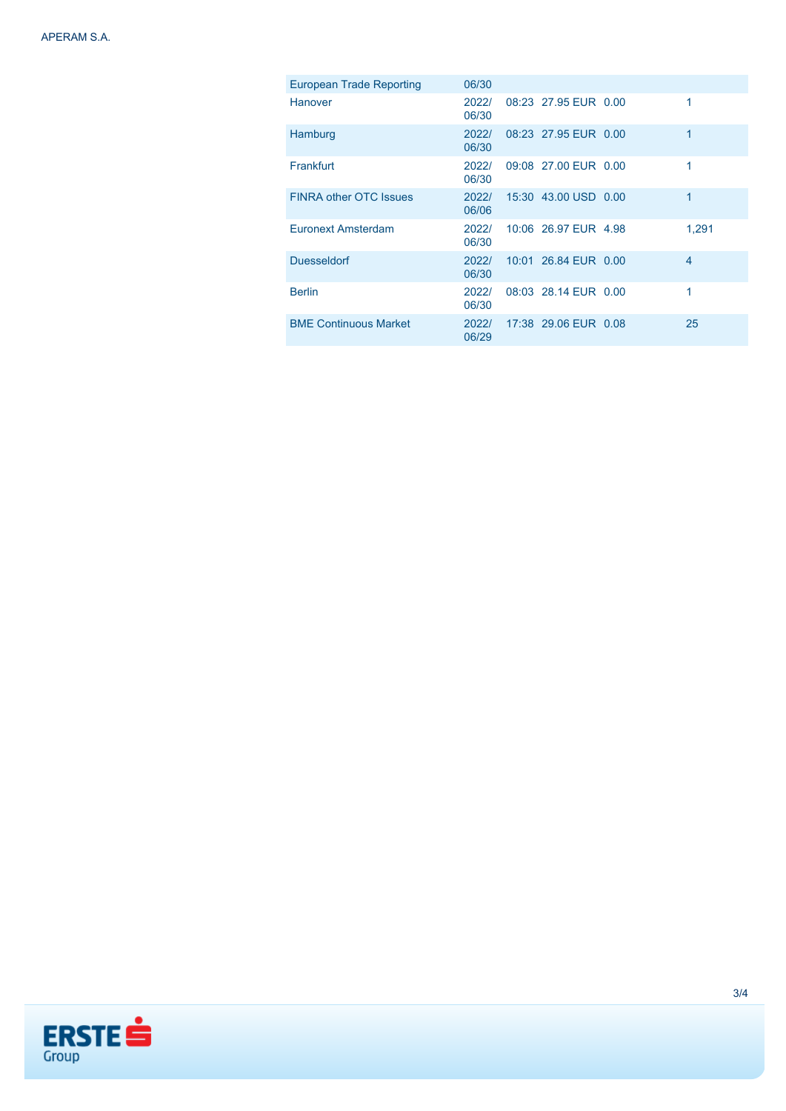| <b>European Trade Reporting</b> | 06/30          |                      |             |
|---------------------------------|----------------|----------------------|-------------|
| Hanover                         | 2022/<br>06/30 | 08:23 27.95 EUR 0.00 | 1           |
| Hamburg                         | 2022/<br>06/30 | 08:23 27.95 EUR 0.00 | 1           |
| Frankfurt                       | 2022/<br>06/30 | 09:08 27:00 EUR 0.00 | 1           |
| <b>FINRA other OTC Issues</b>   | 2022/<br>06/06 | 15:30 43.00 USD 0.00 | $\mathbf 1$ |
| Euronext Amsterdam              | 2022/<br>06/30 | 10:06 26.97 EUR 4.98 | 1.291       |
| <b>Duesseldorf</b>              | 2022/<br>06/30 | 10:01 26.84 EUR 0.00 | 4           |
| <b>Berlin</b>                   | 2022/<br>06/30 | 08:03 28.14 EUR 0.00 |             |
| <b>BME Continuous Market</b>    | 2022/<br>06/29 | 17:38 29.06 EUR 0.08 | 25          |